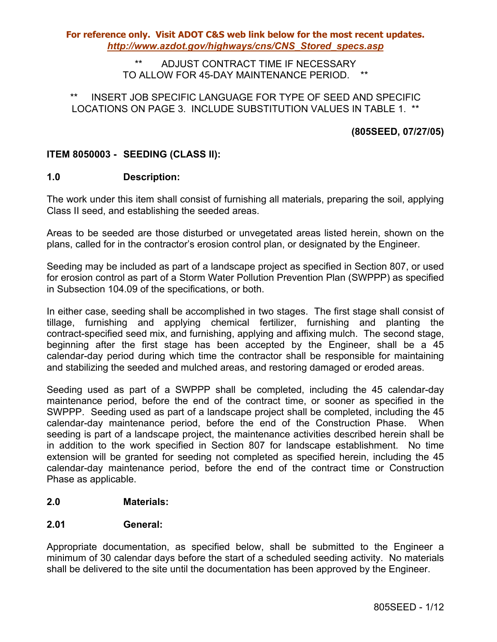### ADJUST CONTRACT TIME IF NECESSARY TO ALLOW FOR 45-DAY MAINTENANCE PERIOD. \*\*

## INSERT JOB SPECIFIC LANGUAGE FOR TYPE OF SEED AND SPECIFIC LOCATIONS ON PAGE 3. INCLUDE SUBSTITUTION VALUES IN TABLE 1. \*\*

# **(805SEED, 07/27/05)**

## **ITEM 8050003 - SEEDING (CLASS II):**

## **1.0 Description:**

The work under this item shall consist of furnishing all materials, preparing the soil, applying Class II seed, and establishing the seeded areas.

Areas to be seeded are those disturbed or unvegetated areas listed herein, shown on the plans, called for in the contractor's erosion control plan, or designated by the Engineer.

Seeding may be included as part of a landscape project as specified in Section 807, or used for erosion control as part of a Storm Water Pollution Prevention Plan (SWPPP) as specified in Subsection 104.09 of the specifications, or both.

In either case, seeding shall be accomplished in two stages. The first stage shall consist of tillage, furnishing and applying chemical fertilizer, furnishing and planting the contract-specified seed mix, and furnishing, applying and affixing mulch. The second stage, beginning after the first stage has been accepted by the Engineer, shall be a 45 calendar-day period during which time the contractor shall be responsible for maintaining and stabilizing the seeded and mulched areas, and restoring damaged or eroded areas.

Seeding used as part of a SWPPP shall be completed, including the 45 calendar-day maintenance period, before the end of the contract time, or sooner as specified in the SWPPP. Seeding used as part of a landscape project shall be completed, including the 45 calendar-day maintenance period, before the end of the Construction Phase. When seeding is part of a landscape project, the maintenance activities described herein shall be in addition to the work specified in Section 807 for landscape establishment. No time extension will be granted for seeding not completed as specified herein, including the 45 calendar-day maintenance period, before the end of the contract time or Construction Phase as applicable.

## **2.0 Materials:**

## **2.01 General:**

Appropriate documentation, as specified below, shall be submitted to the Engineer a minimum of 30 calendar days before the start of a scheduled seeding activity. No materials shall be delivered to the site until the documentation has been approved by the Engineer.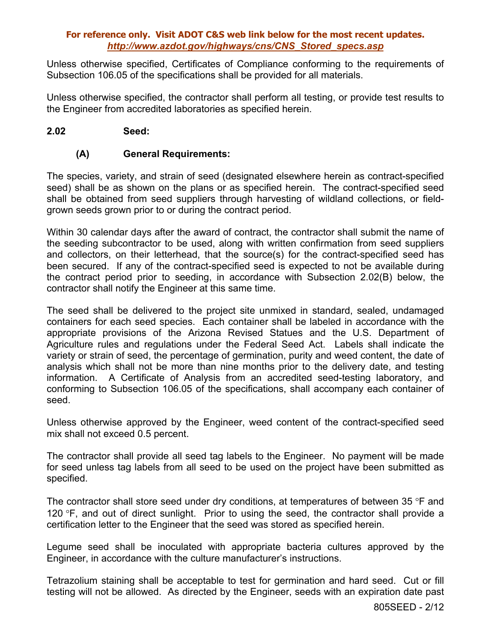Unless otherwise specified, Certificates of Compliance conforming to the requirements of Subsection 106.05 of the specifications shall be provided for all materials.

Unless otherwise specified, the contractor shall perform all testing, or provide test results to the Engineer from accredited laboratories as specified herein.

### **2.02 Seed:**

## **(A) General Requirements:**

The species, variety, and strain of seed (designated elsewhere herein as contract-specified seed) shall be as shown on the plans or as specified herein. The contract-specified seed shall be obtained from seed suppliers through harvesting of wildland collections, or fieldgrown seeds grown prior to or during the contract period.

Within 30 calendar days after the award of contract, the contractor shall submit the name of the seeding subcontractor to be used, along with written confirmation from seed suppliers and collectors, on their letterhead, that the source(s) for the contract-specified seed has been secured. If any of the contract-specified seed is expected to not be available during the contract period prior to seeding, in accordance with Subsection 2.02(B) below, the contractor shall notify the Engineer at this same time.

The seed shall be delivered to the project site unmixed in standard, sealed, undamaged containers for each seed species. Each container shall be labeled in accordance with the appropriate provisions of the Arizona Revised Statues and the U.S. Department of Agriculture rules and regulations under the Federal Seed Act. Labels shall indicate the variety or strain of seed, the percentage of germination, purity and weed content, the date of analysis which shall not be more than nine months prior to the delivery date, and testing information. A Certificate of Analysis from an accredited seed-testing laboratory, and conforming to Subsection 106.05 of the specifications, shall accompany each container of seed.

Unless otherwise approved by the Engineer, weed content of the contract-specified seed mix shall not exceed 0.5 percent.

The contractor shall provide all seed tag labels to the Engineer. No payment will be made for seed unless tag labels from all seed to be used on the project have been submitted as specified.

The contractor shall store seed under dry conditions, at temperatures of between 35 °F and 120 °F, and out of direct sunlight. Prior to using the seed, the contractor shall provide a certification letter to the Engineer that the seed was stored as specified herein.

Legume seed shall be inoculated with appropriate bacteria cultures approved by the Engineer, in accordance with the culture manufacturer's instructions.

Tetrazolium staining shall be acceptable to test for germination and hard seed. Cut or fill testing will not be allowed. As directed by the Engineer, seeds with an expiration date past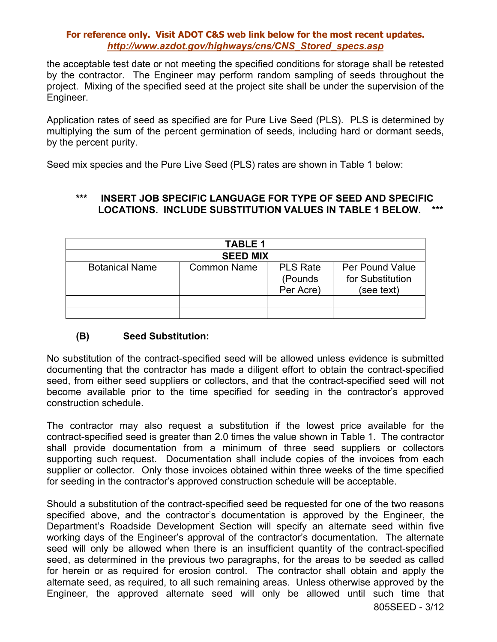the acceptable test date or not meeting the specified conditions for storage shall be retested by the contractor. The Engineer may perform random sampling of seeds throughout the project. Mixing of the specified seed at the project site shall be under the supervision of the Engineer.

Application rates of seed as specified are for Pure Live Seed (PLS). PLS is determined by multiplying the sum of the percent germination of seeds, including hard or dormant seeds, by the percent purity.

Seed mix species and the Pure Live Seed (PLS) rates are shown in Table 1 below:

# **\*\*\* INSERT JOB SPECIFIC LANGUAGE FOR TYPE OF SEED AND SPECIFIC LOCATIONS. INCLUDE SUBSTITUTION VALUES IN TABLE 1 BELOW.**

| TABLE 1               |                    |                                          |                                                          |  |  |  |
|-----------------------|--------------------|------------------------------------------|----------------------------------------------------------|--|--|--|
| <b>SEED MIX</b>       |                    |                                          |                                                          |  |  |  |
| <b>Botanical Name</b> | <b>Common Name</b> | <b>PLS Rate</b><br>(Pounds)<br>Per Acre) | <b>Per Pound Value</b><br>for Substitution<br>(see text) |  |  |  |
|                       |                    |                                          |                                                          |  |  |  |
|                       |                    |                                          |                                                          |  |  |  |

# **(B) Seed Substitution:**

No substitution of the contract-specified seed will be allowed unless evidence is submitted documenting that the contractor has made a diligent effort to obtain the contract-specified seed, from either seed suppliers or collectors, and that the contract-specified seed will not become available prior to the time specified for seeding in the contractor's approved construction schedule.

The contractor may also request a substitution if the lowest price available for the contract-specified seed is greater than 2.0 times the value shown in Table 1. The contractor shall provide documentation from a minimum of three seed suppliers or collectors supporting such request. Documentation shall include copies of the invoices from each supplier or collector. Only those invoices obtained within three weeks of the time specified for seeding in the contractor's approved construction schedule will be acceptable.

Should a substitution of the contract-specified seed be requested for one of the two reasons specified above, and the contractor's documentation is approved by the Engineer, the Department's Roadside Development Section will specify an alternate seed within five working days of the Engineer's approval of the contractor's documentation. The alternate seed will only be allowed when there is an insufficient quantity of the contract-specified seed, as determined in the previous two paragraphs, for the areas to be seeded as called for herein or as required for erosion control. The contractor shall obtain and apply the alternate seed, as required, to all such remaining areas. Unless otherwise approved by the Engineer, the approved alternate seed will only be allowed until such time that 805SEED - 3/12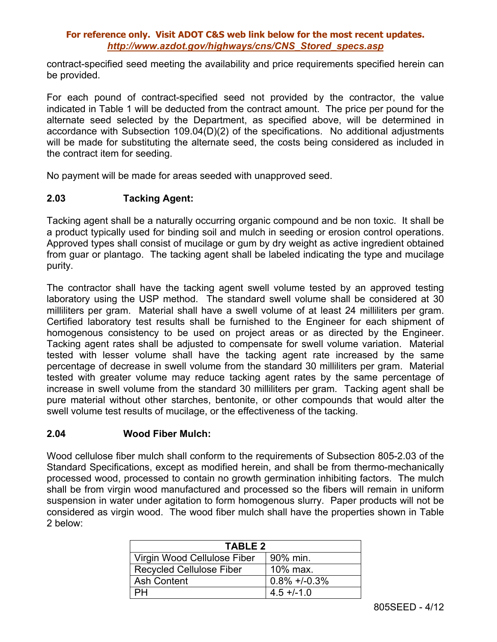contract-specified seed meeting the availability and price requirements specified herein can be provided.

For each pound of contract-specified seed not provided by the contractor, the value indicated in Table 1 will be deducted from the contract amount. The price per pound for the alternate seed selected by the Department, as specified above, will be determined in accordance with Subsection 109.04(D)(2) of the specifications. No additional adjustments will be made for substituting the alternate seed, the costs being considered as included in the contract item for seeding.

No payment will be made for areas seeded with unapproved seed.

## **2.03 Tacking Agent:**

Tacking agent shall be a naturally occurring organic compound and be non toxic. It shall be a product typically used for binding soil and mulch in seeding or erosion control operations. Approved types shall consist of mucilage or gum by dry weight as active ingredient obtained from guar or plantago. The tacking agent shall be labeled indicating the type and mucilage purity.

The contractor shall have the tacking agent swell volume tested by an approved testing laboratory using the USP method. The standard swell volume shall be considered at 30 milliliters per gram. Material shall have a swell volume of at least 24 milliliters per gram. Certified laboratory test results shall be furnished to the Engineer for each shipment of homogenous consistency to be used on project areas or as directed by the Engineer. Tacking agent rates shall be adjusted to compensate for swell volume variation. Material tested with lesser volume shall have the tacking agent rate increased by the same percentage of decrease in swell volume from the standard 30 milliliters per gram. Material tested with greater volume may reduce tacking agent rates by the same percentage of increase in swell volume from the standard 30 milliliters per gram. Tacking agent shall be pure material without other starches, bentonite, or other compounds that would alter the swell volume test results of mucilage, or the effectiveness of the tacking.

## **2.04 Wood Fiber Mulch:**

Wood cellulose fiber mulch shall conform to the requirements of Subsection 805-2.03 of the Standard Specifications, except as modified herein, and shall be from thermo-mechanically processed wood, processed to contain no growth germination inhibiting factors. The mulch shall be from virgin wood manufactured and processed so the fibers will remain in uniform suspension in water under agitation to form homogenous slurry. Paper products will not be considered as virgin wood. The wood fiber mulch shall have the properties shown in Table 2 below:

| <b>TABLE 2</b>                  |                  |  |  |  |
|---------------------------------|------------------|--|--|--|
| Virgin Wood Cellulose Fiber     | 90% min.         |  |  |  |
| <b>Recycled Cellulose Fiber</b> | 10% max.         |  |  |  |
| <b>Ash Content</b>              | $0.8\% +1.0.3\%$ |  |  |  |
|                                 | $4.5 + (-1.0)$   |  |  |  |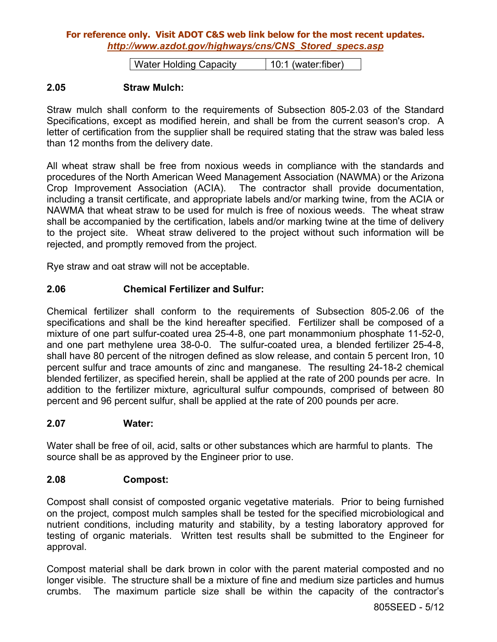| Water Holding Capacity | 10:1 (water:fiber)

### **2.05 Straw Mulch:**

Straw mulch shall conform to the requirements of Subsection 805-2.03 of the Standard Specifications, except as modified herein, and shall be from the current season's crop. A letter of certification from the supplier shall be required stating that the straw was baled less than 12 months from the delivery date.

All wheat straw shall be free from noxious weeds in compliance with the standards and procedures of the North American Weed Management Association (NAWMA) or the Arizona Crop Improvement Association (ACIA). The contractor shall provide documentation, including a transit certificate, and appropriate labels and/or marking twine, from the ACIA or NAWMA that wheat straw to be used for mulch is free of noxious weeds. The wheat straw shall be accompanied by the certification, labels and/or marking twine at the time of delivery to the project site. Wheat straw delivered to the project without such information will be rejected, and promptly removed from the project.

Rye straw and oat straw will not be acceptable.

## **2.06 Chemical Fertilizer and Sulfur:**

Chemical fertilizer shall conform to the requirements of Subsection 805-2.06 of the specifications and shall be the kind hereafter specified. Fertilizer shall be composed of a mixture of one part sulfur-coated urea 25-4-8, one part monammonium phosphate 11-52-0, and one part methylene urea 38-0-0. The sulfur-coated urea, a blended fertilizer 25-4-8, shall have 80 percent of the nitrogen defined as slow release, and contain 5 percent Iron, 10 percent sulfur and trace amounts of zinc and manganese. The resulting 24-18-2 chemical blended fertilizer, as specified herein, shall be applied at the rate of 200 pounds per acre. In addition to the fertilizer mixture, agricultural sulfur compounds, comprised of between 80 percent and 96 percent sulfur, shall be applied at the rate of 200 pounds per acre.

#### **2.07 Water:**

Water shall be free of oil, acid, salts or other substances which are harmful to plants. The source shall be as approved by the Engineer prior to use.

#### **2.08 Compost:**

Compost shall consist of composted organic vegetative materials. Prior to being furnished on the project, compost mulch samples shall be tested for the specified microbiological and nutrient conditions, including maturity and stability, by a testing laboratory approved for testing of organic materials. Written test results shall be submitted to the Engineer for approval.

Compost material shall be dark brown in color with the parent material composted and no longer visible. The structure shall be a mixture of fine and medium size particles and humus crumbs. The maximum particle size shall be within the capacity of the contractor's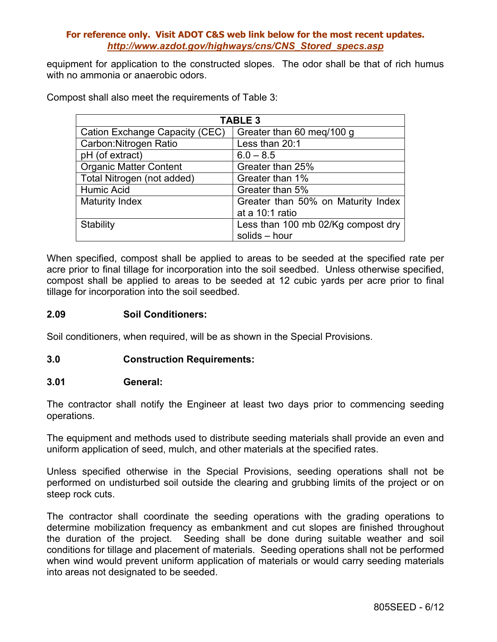equipment for application to the constructed slopes. The odor shall be that of rich humus with no ammonia or anaerobic odors.

| <b>TABLE 3</b>                 |                                    |  |  |  |
|--------------------------------|------------------------------------|--|--|--|
| Cation Exchange Capacity (CEC) | Greater than 60 meg/100 g          |  |  |  |
| Carbon: Nitrogen Ratio         | Less than 20:1                     |  |  |  |
| pH (of extract)                | $6.0 - 8.5$                        |  |  |  |
| <b>Organic Matter Content</b>  | Greater than 25%                   |  |  |  |
| Total Nitrogen (not added)     | Greater than 1%                    |  |  |  |
| Humic Acid                     | Greater than 5%                    |  |  |  |
| <b>Maturity Index</b>          | Greater than 50% on Maturity Index |  |  |  |
|                                | at a 10:1 ratio                    |  |  |  |
| <b>Stability</b>               | Less than 100 mb 02/Kg compost dry |  |  |  |
|                                | solids - hour                      |  |  |  |

Compost shall also meet the requirements of Table 3:

When specified, compost shall be applied to areas to be seeded at the specified rate per acre prior to final tillage for incorporation into the soil seedbed. Unless otherwise specified, compost shall be applied to areas to be seeded at 12 cubic yards per acre prior to final tillage for incorporation into the soil seedbed.

## **2.09 Soil Conditioners:**

Soil conditioners, when required, will be as shown in the Special Provisions.

## **3.0 Construction Requirements:**

#### **3.01 General:**

The contractor shall notify the Engineer at least two days prior to commencing seeding operations.

The equipment and methods used to distribute seeding materials shall provide an even and uniform application of seed, mulch, and other materials at the specified rates.

Unless specified otherwise in the Special Provisions, seeding operations shall not be performed on undisturbed soil outside the clearing and grubbing limits of the project or on steep rock cuts.

The contractor shall coordinate the seeding operations with the grading operations to determine mobilization frequency as embankment and cut slopes are finished throughout the duration of the project. Seeding shall be done during suitable weather and soil conditions for tillage and placement of materials. Seeding operations shall not be performed when wind would prevent uniform application of materials or would carry seeding materials into areas not designated to be seeded.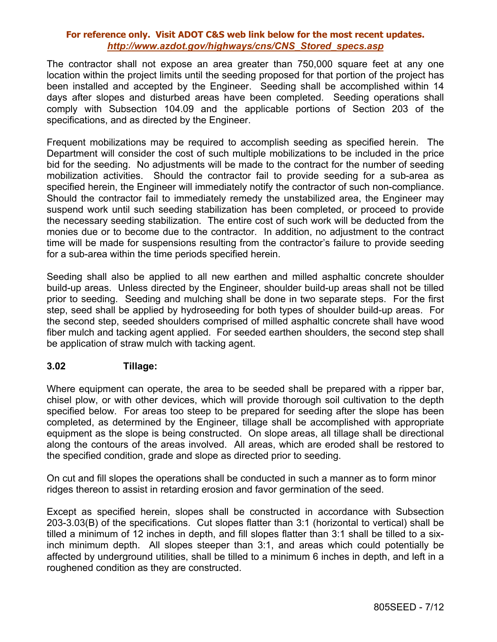The contractor shall not expose an area greater than 750,000 square feet at any one location within the project limits until the seeding proposed for that portion of the project has been installed and accepted by the Engineer. Seeding shall be accomplished within 14 days after slopes and disturbed areas have been completed. Seeding operations shall comply with Subsection 104.09 and the applicable portions of Section 203 of the specifications, and as directed by the Engineer.

Frequent mobilizations may be required to accomplish seeding as specified herein. The Department will consider the cost of such multiple mobilizations to be included in the price bid for the seeding. No adjustments will be made to the contract for the number of seeding mobilization activities. Should the contractor fail to provide seeding for a sub-area as specified herein, the Engineer will immediately notify the contractor of such non-compliance. Should the contractor fail to immediately remedy the unstabilized area, the Engineer may suspend work until such seeding stabilization has been completed, or proceed to provide the necessary seeding stabilization. The entire cost of such work will be deducted from the monies due or to become due to the contractor. In addition, no adjustment to the contract time will be made for suspensions resulting from the contractor's failure to provide seeding for a sub-area within the time periods specified herein.

Seeding shall also be applied to all new earthen and milled asphaltic concrete shoulder build-up areas. Unless directed by the Engineer, shoulder build-up areas shall not be tilled prior to seeding. Seeding and mulching shall be done in two separate steps. For the first step, seed shall be applied by hydroseeding for both types of shoulder build-up areas. For the second step, seeded shoulders comprised of milled asphaltic concrete shall have wood fiber mulch and tacking agent applied. For seeded earthen shoulders, the second step shall be application of straw mulch with tacking agent.

## **3.02 Tillage:**

Where equipment can operate, the area to be seeded shall be prepared with a ripper bar, chisel plow, or with other devices, which will provide thorough soil cultivation to the depth specified below. For areas too steep to be prepared for seeding after the slope has been completed, as determined by the Engineer, tillage shall be accomplished with appropriate equipment as the slope is being constructed. On slope areas, all tillage shall be directional along the contours of the areas involved. All areas, which are eroded shall be restored to the specified condition, grade and slope as directed prior to seeding.

On cut and fill slopes the operations shall be conducted in such a manner as to form minor ridges thereon to assist in retarding erosion and favor germination of the seed.

Except as specified herein, slopes shall be constructed in accordance with Subsection 203-3.03(B) of the specifications. Cut slopes flatter than 3:1 (horizontal to vertical) shall be tilled a minimum of 12 inches in depth, and fill slopes flatter than 3:1 shall be tilled to a sixinch minimum depth. All slopes steeper than 3:1, and areas which could potentially be affected by underground utilities, shall be tilled to a minimum 6 inches in depth, and left in a roughened condition as they are constructed.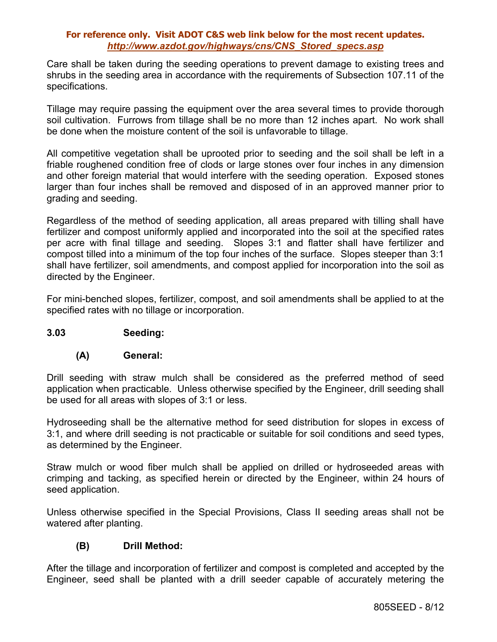Care shall be taken during the seeding operations to prevent damage to existing trees and shrubs in the seeding area in accordance with the requirements of Subsection 107.11 of the specifications.

Tillage may require passing the equipment over the area several times to provide thorough soil cultivation. Furrows from tillage shall be no more than 12 inches apart. No work shall be done when the moisture content of the soil is unfavorable to tillage.

All competitive vegetation shall be uprooted prior to seeding and the soil shall be left in a friable roughened condition free of clods or large stones over four inches in any dimension and other foreign material that would interfere with the seeding operation. Exposed stones larger than four inches shall be removed and disposed of in an approved manner prior to grading and seeding.

Regardless of the method of seeding application, all areas prepared with tilling shall have fertilizer and compost uniformly applied and incorporated into the soil at the specified rates per acre with final tillage and seeding. Slopes 3:1 and flatter shall have fertilizer and compost tilled into a minimum of the top four inches of the surface. Slopes steeper than 3:1 shall have fertilizer, soil amendments, and compost applied for incorporation into the soil as directed by the Engineer.

For mini-benched slopes, fertilizer, compost, and soil amendments shall be applied to at the specified rates with no tillage or incorporation.

## **3.03 Seeding:**

#### **(A) General:**

Drill seeding with straw mulch shall be considered as the preferred method of seed application when practicable. Unless otherwise specified by the Engineer, drill seeding shall be used for all areas with slopes of 3:1 or less.

Hydroseeding shall be the alternative method for seed distribution for slopes in excess of 3:1, and where drill seeding is not practicable or suitable for soil conditions and seed types, as determined by the Engineer.

Straw mulch or wood fiber mulch shall be applied on drilled or hydroseeded areas with crimping and tacking, as specified herein or directed by the Engineer, within 24 hours of seed application.

Unless otherwise specified in the Special Provisions, Class II seeding areas shall not be watered after planting.

## **(B) Drill Method:**

After the tillage and incorporation of fertilizer and compost is completed and accepted by the Engineer, seed shall be planted with a drill seeder capable of accurately metering the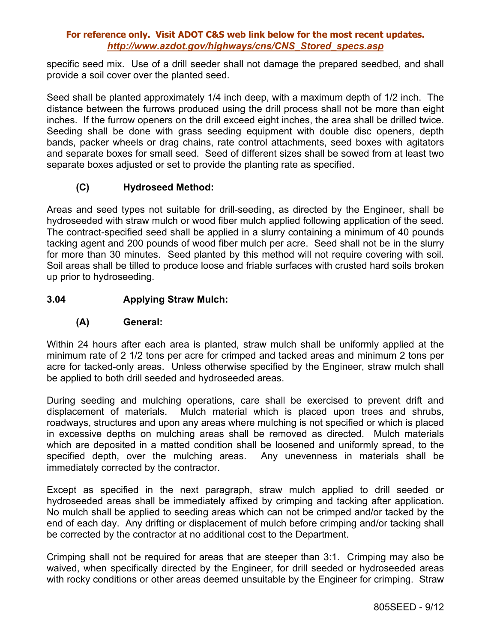specific seed mix. Use of a drill seeder shall not damage the prepared seedbed, and shall provide a soil cover over the planted seed.

Seed shall be planted approximately 1/4 inch deep, with a maximum depth of 1/2 inch. The distance between the furrows produced using the drill process shall not be more than eight inches. If the furrow openers on the drill exceed eight inches, the area shall be drilled twice. Seeding shall be done with grass seeding equipment with double disc openers, depth bands, packer wheels or drag chains, rate control attachments, seed boxes with agitators and separate boxes for small seed. Seed of different sizes shall be sowed from at least two separate boxes adjusted or set to provide the planting rate as specified.

# **(C) Hydroseed Method:**

Areas and seed types not suitable for drill-seeding, as directed by the Engineer, shall be hydroseeded with straw mulch or wood fiber mulch applied following application of the seed. The contract-specified seed shall be applied in a slurry containing a minimum of 40 pounds tacking agent and 200 pounds of wood fiber mulch per acre. Seed shall not be in the slurry for more than 30 minutes. Seed planted by this method will not require covering with soil. Soil areas shall be tilled to produce loose and friable surfaces with crusted hard soils broken up prior to hydroseeding.

# **3.04 Applying Straw Mulch:**

## **(A) General:**

Within 24 hours after each area is planted, straw mulch shall be uniformly applied at the minimum rate of 2 1/2 tons per acre for crimped and tacked areas and minimum 2 tons per acre for tacked-only areas. Unless otherwise specified by the Engineer, straw mulch shall be applied to both drill seeded and hydroseeded areas.

During seeding and mulching operations, care shall be exercised to prevent drift and displacement of materials. Mulch material which is placed upon trees and shrubs, roadways, structures and upon any areas where mulching is not specified or which is placed in excessive depths on mulching areas shall be removed as directed. Mulch materials which are deposited in a matted condition shall be loosened and uniformly spread, to the specified depth, over the mulching areas. Any unevenness in materials shall be immediately corrected by the contractor.

Except as specified in the next paragraph, straw mulch applied to drill seeded or hydroseeded areas shall be immediately affixed by crimping and tacking after application. No mulch shall be applied to seeding areas which can not be crimped and/or tacked by the end of each day. Any drifting or displacement of mulch before crimping and/or tacking shall be corrected by the contractor at no additional cost to the Department.

Crimping shall not be required for areas that are steeper than 3:1. Crimping may also be waived, when specifically directed by the Engineer, for drill seeded or hydroseeded areas with rocky conditions or other areas deemed unsuitable by the Engineer for crimping. Straw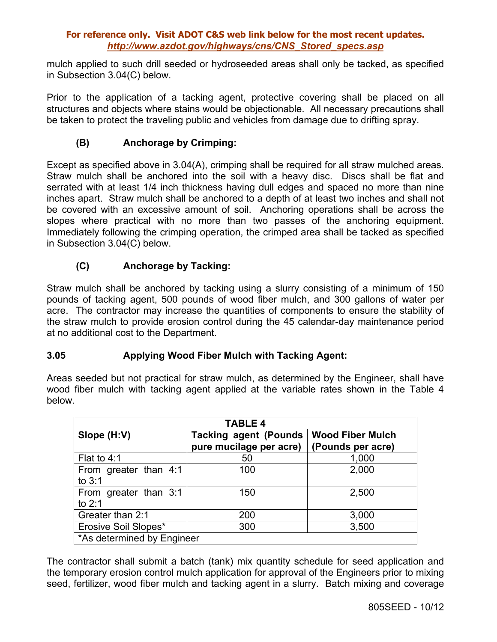mulch applied to such drill seeded or hydroseeded areas shall only be tacked, as specified in Subsection 3.04(C) below.

Prior to the application of a tacking agent, protective covering shall be placed on all structures and objects where stains would be objectionable. All necessary precautions shall be taken to protect the traveling public and vehicles from damage due to drifting spray.

# **(B) Anchorage by Crimping:**

Except as specified above in 3.04(A), crimping shall be required for all straw mulched areas. Straw mulch shall be anchored into the soil with a heavy disc. Discs shall be flat and serrated with at least 1/4 inch thickness having dull edges and spaced no more than nine inches apart. Straw mulch shall be anchored to a depth of at least two inches and shall not be covered with an excessive amount of soil. Anchoring operations shall be across the slopes where practical with no more than two passes of the anchoring equipment. Immediately following the crimping operation, the crimped area shall be tacked as specified in Subsection 3.04(C) below.

# **(C) Anchorage by Tacking:**

Straw mulch shall be anchored by tacking using a slurry consisting of a minimum of 150 pounds of tacking agent, 500 pounds of wood fiber mulch, and 300 gallons of water per acre. The contractor may increase the quantities of components to ensure the stability of the straw mulch to provide erosion control during the 45 calendar-day maintenance period at no additional cost to the Department.

# **3.05 Applying Wood Fiber Mulch with Tacking Agent:**

Areas seeded but not practical for straw mulch, as determined by the Engineer, shall have wood fiber mulch with tacking agent applied at the variable rates shown in the Table 4 below.

| <b>TABLE 4</b>                    |                                                          |                                              |  |  |  |
|-----------------------------------|----------------------------------------------------------|----------------------------------------------|--|--|--|
| Slope (H:V)                       | <b>Tacking agent (Pounds)</b><br>pure mucilage per acre) | <b>Wood Fiber Mulch</b><br>(Pounds per acre) |  |  |  |
| Flat to 4:1                       | 50                                                       | 1,000                                        |  |  |  |
| From greater than 4:1<br>to $3:1$ | 100                                                      | 2,000                                        |  |  |  |
| From greater than 3:1<br>to $2:1$ | 150                                                      | 2,500                                        |  |  |  |
| Greater than 2:1                  | 200                                                      | 3,000                                        |  |  |  |
| Erosive Soil Slopes*              | 300                                                      | 3,500                                        |  |  |  |
| *As determined by Engineer        |                                                          |                                              |  |  |  |

The contractor shall submit a batch (tank) mix quantity schedule for seed application and the temporary erosion control mulch application for approval of the Engineers prior to mixing seed, fertilizer, wood fiber mulch and tacking agent in a slurry. Batch mixing and coverage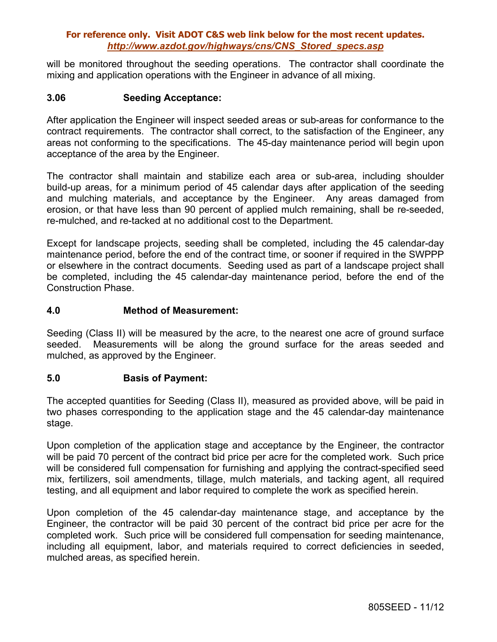will be monitored throughout the seeding operations. The contractor shall coordinate the mixing and application operations with the Engineer in advance of all mixing.

### **3.06 Seeding Acceptance:**

After application the Engineer will inspect seeded areas or sub-areas for conformance to the contract requirements. The contractor shall correct, to the satisfaction of the Engineer, any areas not conforming to the specifications. The 45-day maintenance period will begin upon acceptance of the area by the Engineer.

The contractor shall maintain and stabilize each area or sub-area, including shoulder build-up areas, for a minimum period of 45 calendar days after application of the seeding and mulching materials, and acceptance by the Engineer. Any areas damaged from erosion, or that have less than 90 percent of applied mulch remaining, shall be re-seeded, re-mulched, and re-tacked at no additional cost to the Department.

Except for landscape projects, seeding shall be completed, including the 45 calendar-day maintenance period, before the end of the contract time, or sooner if required in the SWPPP or elsewhere in the contract documents. Seeding used as part of a landscape project shall be completed, including the 45 calendar-day maintenance period, before the end of the Construction Phase.

### **4.0 Method of Measurement:**

Seeding (Class II) will be measured by the acre, to the nearest one acre of ground surface seeded. Measurements will be along the ground surface for the areas seeded and mulched, as approved by the Engineer.

## **5.0 Basis of Payment:**

The accepted quantities for Seeding (Class II), measured as provided above, will be paid in two phases corresponding to the application stage and the 45 calendar-day maintenance stage.

Upon completion of the application stage and acceptance by the Engineer, the contractor will be paid 70 percent of the contract bid price per acre for the completed work. Such price will be considered full compensation for furnishing and applying the contract-specified seed mix, fertilizers, soil amendments, tillage, mulch materials, and tacking agent, all required testing, and all equipment and labor required to complete the work as specified herein.

Upon completion of the 45 calendar-day maintenance stage, and acceptance by the Engineer, the contractor will be paid 30 percent of the contract bid price per acre for the completed work. Such price will be considered full compensation for seeding maintenance, including all equipment, labor, and materials required to correct deficiencies in seeded, mulched areas, as specified herein.